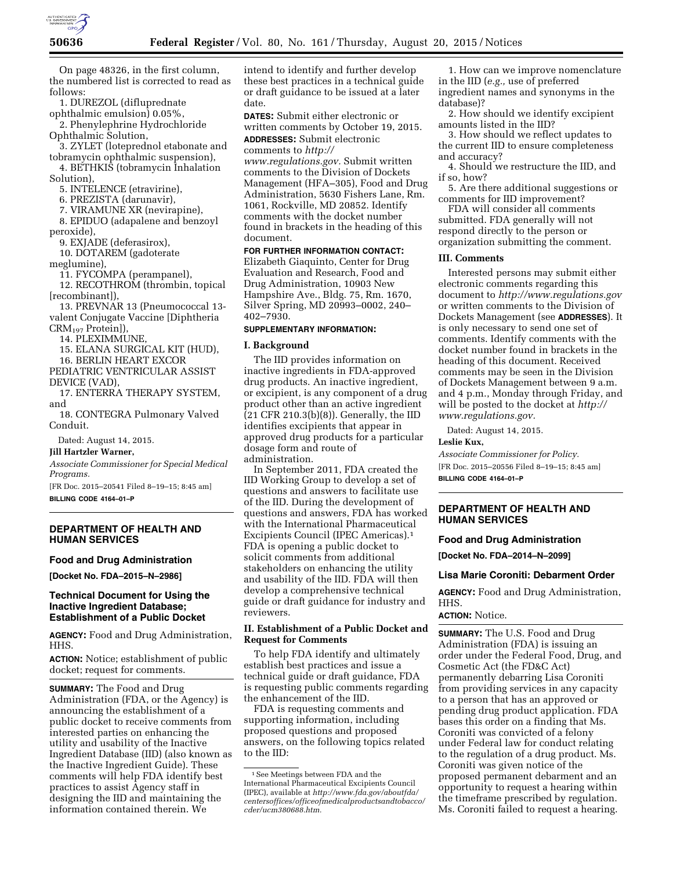

On page 48326, in the first column, the numbered list is corrected to read as follows:

1. DUREZOL (difluprednate ophthalmic emulsion) 0.05%,

2. Phenylephrine Hydrochloride Ophthalmic Solution,

3. ZYLET (loteprednol etabonate and tobramycin ophthalmic suspension),

4. BETHKIS (tobramycin Inhalation Solution),

5. INTELENCE (etravirine),

6. PREZISTA (darunavir),

7. VIRAMUNE XR (nevirapine),

8. EPIDUO (adapalene and benzoyl peroxide),

9. EXJADE (deferasirox),

10. DOTAREM (gadoterate

meglumine),

11. FYCOMPA (perampanel),

12. RECOTHROM (thrombin, topical [recombinant]),

13. PREVNAR 13 (Pneumococcal 13 valent Conjugate Vaccine [Diphtheria CRM197 Protein]),

14. PLEXIMMUNE,

15. ELANA SURGICAL KIT (HUD),

16. BERLIN HEART EXCOR PEDIATRIC VENTRICULAR ASSIST

DEVICE (VAD),

17. ENTERRA THERAPY SYSTEM, and

18. CONTEGRA Pulmonary Valved Conduit.

Dated: August 14, 2015.

#### **Jill Hartzler Warner,**

*Associate Commissioner for Special Medical Programs.* 

[FR Doc. 2015–20541 Filed 8–19–15; 8:45 am]

**BILLING CODE 4164–01–P** 

# **DEPARTMENT OF HEALTH AND HUMAN SERVICES**

#### **Food and Drug Administration**

**[Docket No. FDA–2015–N–2986]** 

# **Technical Document for Using the Inactive Ingredient Database; Establishment of a Public Docket**

**AGENCY:** Food and Drug Administration, HHS.

**ACTION:** Notice; establishment of public docket; request for comments.

**SUMMARY:** The Food and Drug Administration (FDA, or the Agency) is announcing the establishment of a public docket to receive comments from interested parties on enhancing the utility and usability of the Inactive Ingredient Database (IID) (also known as the Inactive Ingredient Guide). These comments will help FDA identify best practices to assist Agency staff in designing the IID and maintaining the information contained therein. We

intend to identify and further develop these best practices in a technical guide or draft guidance to be issued at a later date.

**DATES:** Submit either electronic or written comments by October 19, 2015.

**ADDRESSES:** Submit electronic comments to *[http://](http://www.regulations.gov)*

*[www.regulations.gov.](http://www.regulations.gov)* Submit written comments to the Division of Dockets Management (HFA–305), Food and Drug Administration, 5630 Fishers Lane, Rm. 1061, Rockville, MD 20852. Identify comments with the docket number found in brackets in the heading of this document.

# **FOR FURTHER INFORMATION CONTACT:**

Elizabeth Giaquinto, Center for Drug Evaluation and Research, Food and Drug Administration, 10903 New Hampshire Ave., Bldg. 75, Rm. 1670, Silver Spring, MD 20993–0002, 240– 402–7930.

# **SUPPLEMENTARY INFORMATION:**

#### **I. Background**

The IID provides information on inactive ingredients in FDA-approved drug products. An inactive ingredient, or excipient, is any component of a drug product other than an active ingredient (21 CFR 210.3(b)(8)). Generally, the IID identifies excipients that appear in approved drug products for a particular dosage form and route of administration.

In September 2011, FDA created the IID Working Group to develop a set of questions and answers to facilitate use of the IID. During the development of questions and answers, FDA has worked with the International Pharmaceutical Excipients Council (IPEC Americas).1 FDA is opening a public docket to solicit comments from additional stakeholders on enhancing the utility and usability of the IID. FDA will then develop a comprehensive technical guide or draft guidance for industry and reviewers.

# **II. Establishment of a Public Docket and Request for Comments**

To help FDA identify and ultimately establish best practices and issue a technical guide or draft guidance, FDA is requesting public comments regarding the enhancement of the IID.

FDA is requesting comments and supporting information, including proposed questions and proposed answers, on the following topics related to the IID:

1. How can we improve nomenclature in the IID (*e.g.,* use of preferred ingredient names and synonyms in the database)?

2. How should we identify excipient amounts listed in the IID?

3. How should we reflect updates to the current IID to ensure completeness and accuracy?

4. Should we restructure the IID, and if so, how?

5. Are there additional suggestions or comments for IID improvement?

FDA will consider all comments submitted. FDA generally will not respond directly to the person or organization submitting the comment.

## **III. Comments**

Interested persons may submit either electronic comments regarding this document to *<http://www.regulations.gov>* or written comments to the Division of Dockets Management (see **ADDRESSES**). It is only necessary to send one set of comments. Identify comments with the docket number found in brackets in the heading of this document. Received comments may be seen in the Division of Dockets Management between 9 a.m. and 4 p.m., Monday through Friday, and will be posted to the docket at *[http://](http://www.regulations.gov) [www.regulations.gov.](http://www.regulations.gov)* 

Dated: August 14, 2015.

#### **Leslie Kux,**

*Associate Commissioner for Policy.*  [FR Doc. 2015–20556 Filed 8–19–15; 8:45 am] **BILLING CODE 4164–01–P** 

## **DEPARTMENT OF HEALTH AND HUMAN SERVICES**

## **Food and Drug Administration**

**[Docket No. FDA–2014–N–2099]** 

### **Lisa Marie Coroniti: Debarment Order**

**AGENCY:** Food and Drug Administration, HHS.

### **ACTION:** Notice.

**SUMMARY:** The U.S. Food and Drug Administration (FDA) is issuing an order under the Federal Food, Drug, and Cosmetic Act (the FD&C Act) permanently debarring Lisa Coroniti from providing services in any capacity to a person that has an approved or pending drug product application. FDA bases this order on a finding that Ms. Coroniti was convicted of a felony under Federal law for conduct relating to the regulation of a drug product. Ms. Coroniti was given notice of the proposed permanent debarment and an opportunity to request a hearing within the timeframe prescribed by regulation. Ms. Coroniti failed to request a hearing.

<sup>1</sup>See Meetings between FDA and the International Pharmaceutical Excipients Council (IPEC), available at *[http://www.fda.gov/aboutfda/](http://www.fda.gov/aboutfda/centersoffices/officeofmedicalproductsandtobacco/cder/ucm380688.htm) [centersoffices/officeofmedicalproductsandtobacco/](http://www.fda.gov/aboutfda/centersoffices/officeofmedicalproductsandtobacco/cder/ucm380688.htm) [cder/ucm380688.htm.](http://www.fda.gov/aboutfda/centersoffices/officeofmedicalproductsandtobacco/cder/ucm380688.htm)*